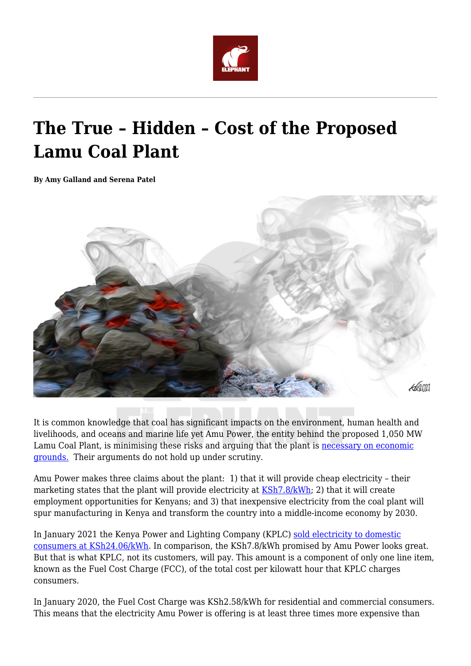

# **The True – Hidden – Cost of the Proposed Lamu Coal Plant**

**By Amy Galland and Serena Patel**



It is common knowledge that coal has significant impacts on the environment, human health and livelihoods, and oceans and marine life yet Amu Power, the entity behind the proposed 1,050 MW Lamu Coal Plant, is minimising these risks and arguing that the plant is [necessary on economic](https://www.capitalfm.co.ke/business/2019/07/lamus-coal-plant-ruling-impediment-to-producing-cheap-power-oguna/) [grounds.](https://www.capitalfm.co.ke/business/2019/07/lamus-coal-plant-ruling-impediment-to-producing-cheap-power-oguna/) Their arguments do not hold up under scrutiny.

Amu Power makes three claims about the plant: 1) that it will provide cheap electricity – their marketing states that the plant will provide electricity at [KSh7.8/kWh](https://www.kenyanews.go.ke/we-need-coal-energy-to-industrialize-government-spokesperson/); 2) that it will create employment opportunities for Kenyans; and 3) that inexpensive electricity from the coal plant will spur manufacturing in Kenya and transform the country into a middle-income economy by 2030.

In January 2021 the Kenya Power and Lighting Company (KPLC) [sold electricity to domestic](https://stimatracker.com/) [consumers at KSh24.06/kWh.](https://stimatracker.com/) In comparison, the KSh7.8/kWh promised by Amu Power looks great. But that is what KPLC, not its customers, will pay. This amount is a component of only one line item, known as the Fuel Cost Charge (FCC), of the total cost per kilowatt hour that KPLC charges consumers.

In January 2020, the Fuel Cost Charge was KSh2.58/kWh for residential and commercial consumers. This means that the electricity Amu Power is offering is at least three times more expensive than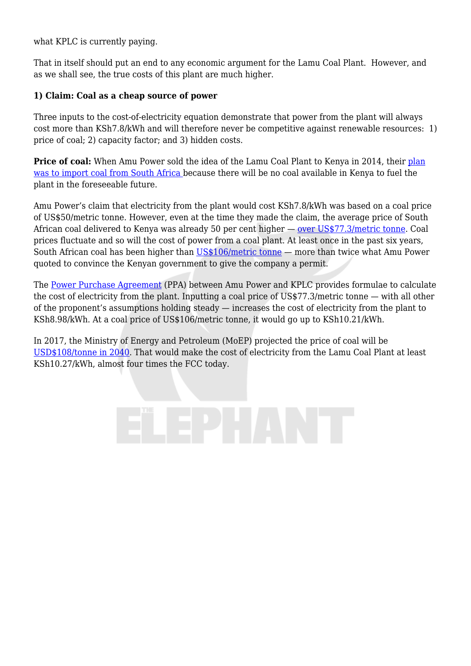what KPLC is currently paying.

That in itself should put an end to any economic argument for the Lamu Coal Plant. However, and as we shall see, the true costs of this plant are much higher.

#### **1) Claim: Coal as a cheap source of power**

Three inputs to the cost-of-electricity equation demonstrate that power from the plant will always cost more than KSh7.8/kWh and will therefore never be competitive against renewable resources: 1) price of coal; 2) capacity factor; and 3) hidden costs.

**Price of coal:** When Amu Power sold the idea of the Lamu Coal Plant to Kenya in 2014, their [plan](https://s3-ap-southeast-1.amazonaws.com/amupower/ESIA/04Description+of+the+Project.pdf) [was to import coal from South Africa](https://s3-ap-southeast-1.amazonaws.com/amupower/ESIA/04Description+of+the+Project.pdf) because there will be no coal available in Kenya to fuel the plant in the foreseeable future.

Amu Power's claim that electricity from the plant would cost KSh7.8/kWh was based on a coal price of US\$50/metric tonne. However, even at the time they made the claim, the average price of South African coal delivered to Kenya was already 50 per cent higher — [over US\\$77.3/metric tonne.](https://www.indexmundi.com/commodities/?commodity=coal-south-african&months=120) Coal prices fluctuate and so will the cost of power from a coal plant. At least once in the past six years, South African coal has been higher than [US\\$106/metric tonne](https://www.indexmundi.com/commodities/?commodity=coal-south-african&months=120) — more than twice what Amu Power quoted to convince the Kenyan government to give the company a permit.

The [Power Purchase Agreement](https://www.decoalonize.org/wp-content/uploads/2020/06/170804.-Amu-Power-KPLC-Power-Purchase-Agreement-lamu-coal.pdf) (PPA) between Amu Power and KPLC provides formulae to calculate the cost of electricity from the plant. Inputting a coal price of US\$77.3/metric tonne — with all other of the proponent's assumptions holding steady — increases the cost of electricity from the plant to KSh8.98/kWh. At a coal price of US\$106/metric tonne, it would go up to KSh10.21/kWh.

In 2017, the Ministry of Energy and Petroleum (MoEP) projected the price of coal will be [USD\\$108/tonne in 2040.](https://www.decoalonize.org/wp-content/uploads/2021/03/LCPDP-Least-Cost-Power-Development-Plan-2017-2037-not-2022-updated-June-2018.pdf) That would make the cost of electricity from the Lamu Coal Plant at least KSh10.27/kWh, almost four times the FCC today.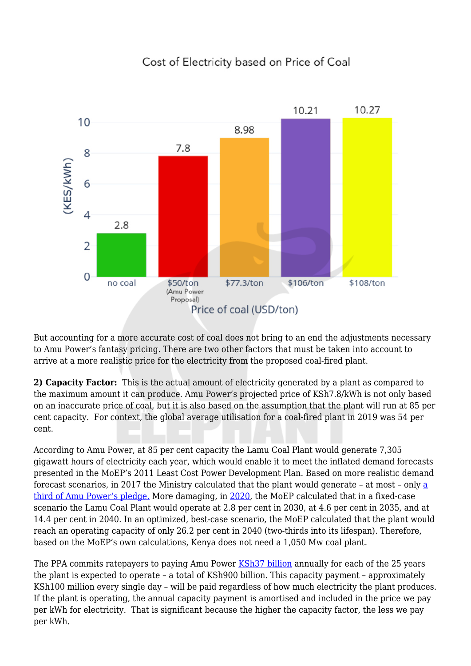

# Cost of Electricity based on Price of Coal

But accounting for a more accurate cost of coal does not bring to an end the adjustments necessary to Amu Power's fantasy pricing. There are two other factors that must be taken into account to arrive at a more realistic price for the electricity from the proposed coal-fired plant.

**2) Capacity Factor:** This is the actual amount of electricity generated by a plant as compared to the maximum amount it can produce. Amu Power's projected price of KSh7.8/kWh is not only based on an inaccurate price of coal, but it is also based on the assumption that the plant will run at 85 per cent capacity. For context, the global average utilisation for a coal-fired plant in 2019 was 54 per cent.

According to Amu Power, at 85 per cent capacity the Lamu Coal Plant would generate 7,305 gigawatt hours of electricity each year, which would enable it to meet the inflated demand forecasts presented in the MoEP's 2011 Least Cost Power Development Plan. Based on more realistic demand forecast scenarios, in 2017 the Ministry calculated that the plant would generate – [a](https://ieefa.org/wp-content/uploads/2019/05/The-Proposed-Lamu-Coal-Project_June-2019.pdf)t most – only  $\underline{a}$ [third of Amu Power's pledge.](https://ieefa.org/wp-content/uploads/2019/05/The-Proposed-Lamu-Coal-Project_June-2019.pdf) More damaging, in [2020,](https://www.decoalonize.org/wp-content/uploads/2021/03/LCPDP-2020-2040.pdf) the MoEP calculated that in a fixed-case scenario the Lamu Coal Plant would operate at 2.8 per cent in 2030, at 4.6 per cent in 2035, and at 14.4 per cent in 2040. In an optimized, best-case scenario, the MoEP calculated that the plant would reach an operating capacity of only 26.2 per cent in 2040 (two-thirds into its lifespan). Therefore, based on the MoEP's own calculations, Kenya does not need a 1,050 Mw coal plant.

The PPA commits ratepayers to paying Amu Power [KSh37 billion](https://www.businessdailyafrica.com/economy/Lamu-coal-plant-to-cost-power-users-Sh37bn-yearly-/3946234-4279366-i7ckagz/index.html) annually for each of the 25 years the plant is expected to operate – a total of KSh900 billion. This capacity payment – approximately KSh100 million every single day – will be paid regardless of how much electricity the plant produces. If the plant is operating, the annual capacity payment is amortised and included in the price we pay per kWh for electricity. That is significant because the higher the capacity factor, the less we pay per kWh.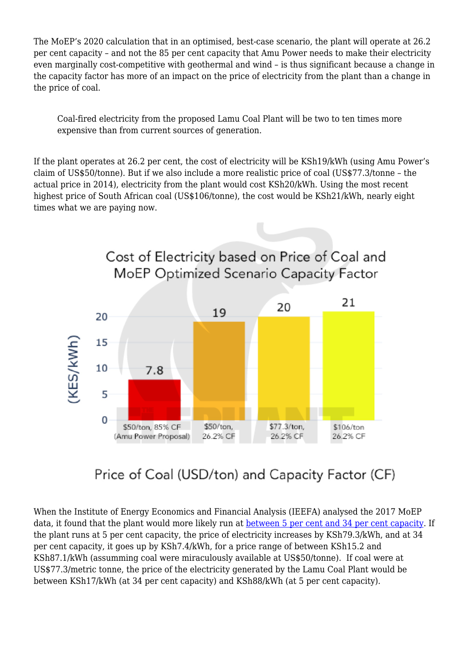The MoEP's 2020 calculation that in an optimised, best-case scenario, the plant will operate at 26.2 per cent capacity – and not the 85 per cent capacity that Amu Power needs to make their electricity even marginally cost-competitive with geothermal and wind – is thus significant because a change in the capacity factor has more of an impact on the price of electricity from the plant than a change in the price of coal.

Coal-fired electricity from the proposed Lamu Coal Plant will be two to ten times more expensive than from current sources of generation.

If the plant operates at 26.2 per cent, the cost of electricity will be KSh19/kWh (using Amu Power's claim of US\$50/tonne). But if we also include a more realistic price of coal (US\$77.3/tonne – the actual price in 2014), electricity from the plant would cost KSh20/kWh. Using the most recent highest price of South African coal (US\$106/tonne), the cost would be KSh21/kWh, nearly eight times what we are paying now.



26.2% CF

(Amu Power Proposal)

# Price of Coal (USD/ton) and Capacity Factor (CF)

26.2% CF

26.2% CF

When the Institute of Energy Economics and Financial Analysis (IEEFA) analysed the 2017 MoEP data, it found that the plant would more likely run at [between 5 per cent and 34 per cent capacity.](https://ieefa.org/wp-content/uploads/2019/05/The-Proposed-Lamu-Coal-Project_June-2019.pdf) If the plant runs at 5 per cent capacity, the price of electricity increases by KSh79.3/kWh, and at 34 per cent capacity, it goes up by KSh7.4/kWh, for a price range of between KSh15.2 and KSh87.1/kWh (assumming coal were miraculously available at US\$50/tonne). If coal were at US\$77.3/metric tonne, the price of the electricity generated by the Lamu Coal Plant would be between KSh17/kWh (at 34 per cent capacity) and KSh88/kWh (at 5 per cent capacity).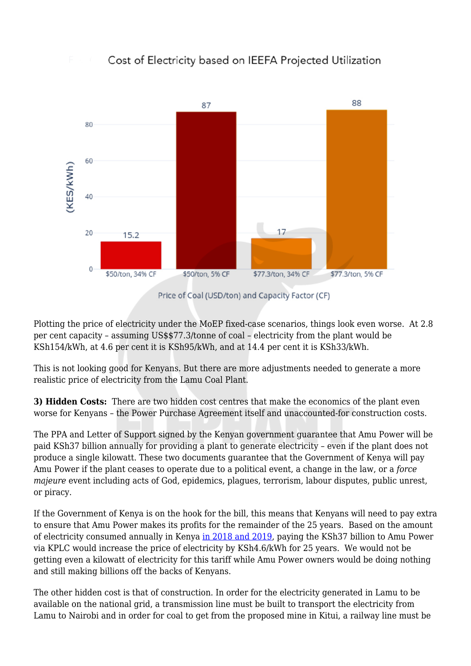# Cost of Electricity based on IEEFA Projected Utilization



Price of Coal (USD/ton) and Capacity Factor (CF)

Plotting the price of electricity under the MoEP fixed-case scenarios, things look even worse. At 2.8 per cent capacity – assuming US\$\$77.3/tonne of coal – electricity from the plant would be KSh154/kWh, at 4.6 per cent it is KSh95/kWh, and at 14.4 per cent it is KSh33/kWh.

This is not looking good for Kenyans. But there are more adjustments needed to generate a more realistic price of electricity from the Lamu Coal Plant.

**3) Hidden Costs:** There are two hidden cost centres that make the economics of the plant even worse for Kenyans – the Power Purchase Agreement itself and unaccounted-for construction costs.

The PPA and Letter of Support signed by the Kenyan government guarantee that Amu Power will be paid KSh37 billion annually for providing a plant to generate electricity – even if the plant does not produce a single kilowatt. These two documents guarantee that the Government of Kenya will pay Amu Power if the plant ceases to operate due to a political event, a change in the law, or a *force majeure* event including acts of God, epidemics, plagues, terrorism, labour disputes, public unrest, or piracy.

If the Government of Kenya is on the hook for the bill, this means that Kenyans will need to pay extra to ensure that Amu Power makes its profits for the remainder of the 25 years. Based on the amount of electricity consumed annually in Kenya [in 2018 and 2019,](https://www.indexmundi.com/g/g.aspx?v=81&c=ke&l=en) paying the KSh37 billion to Amu Power via KPLC would increase the price of electricity by KSh4.6/kWh for 25 years. We would not be getting even a kilowatt of electricity for this tariff while Amu Power owners would be doing nothing and still making billions off the backs of Kenyans.

The other hidden cost is that of construction. In order for the electricity generated in Lamu to be available on the national grid, a transmission line must be built to transport the electricity from Lamu to Nairobi and in order for coal to get from the proposed mine in Kitui, a railway line must be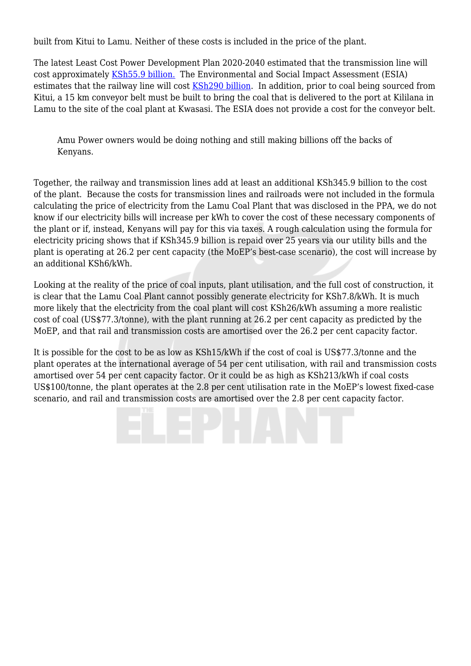built from Kitui to Lamu. Neither of these costs is included in the price of the plant.

The latest Least Cost Power Development Plan 2020-2040 estimated that the transmission line will cost approximately [KSh55.9 billion.](https://www.decoalonize.org/wp-content/uploads/2021/03/LCPDP-2020-2040.pdf) The Environmental and Social Impact Assessment (ESIA) estimates that the railway line will cost [KSh290 billion](https://www.amupower.co.ke/esia.html). In addition, prior to coal being sourced from Kitui, a 15 km conveyor belt must be built to bring the coal that is delivered to the port at Kililana in Lamu to the site of the coal plant at Kwasasi. The ESIA does not provide a cost for the conveyor belt.

Amu Power owners would be doing nothing and still making billions off the backs of Kenyans.

Together, the railway and transmission lines add at least an additional KSh345.9 billion to the cost of the plant. Because the costs for transmission lines and railroads were not included in the formula calculating the price of electricity from the Lamu Coal Plant that was disclosed in the PPA, we do not know if our electricity bills will increase per kWh to cover the cost of these necessary components of the plant or if, instead, Kenyans will pay for this via taxes. A rough calculation using the formula for electricity pricing shows that if KSh345.9 billion is repaid over 25 years via our utility bills and the plant is operating at 26.2 per cent capacity (the MoEP's best-case scenario), the cost will increase by an additional KSh6/kWh.

Looking at the reality of the price of coal inputs, plant utilisation, and the full cost of construction, it is clear that the Lamu Coal Plant cannot possibly generate electricity for KSh7.8/kWh. It is much more likely that the electricity from the coal plant will cost KSh26/kWh assuming a more realistic cost of coal (US\$77.3/tonne), with the plant running at 26.2 per cent capacity as predicted by the MoEP, and that rail and transmission costs are amortised over the 26.2 per cent capacity factor.

It is possible for the cost to be as low as KSh15/kWh if the cost of coal is US\$77.3/tonne and the plant operates at the international average of 54 per cent utilisation, with rail and transmission costs amortised over 54 per cent capacity factor. Or it could be as high as KSh213/kWh if coal costs US\$100/tonne, the plant operates at the 2.8 per cent utilisation rate in the MoEP's lowest fixed-case scenario, and rail and transmission costs are amortised over the 2.8 per cent capacity factor.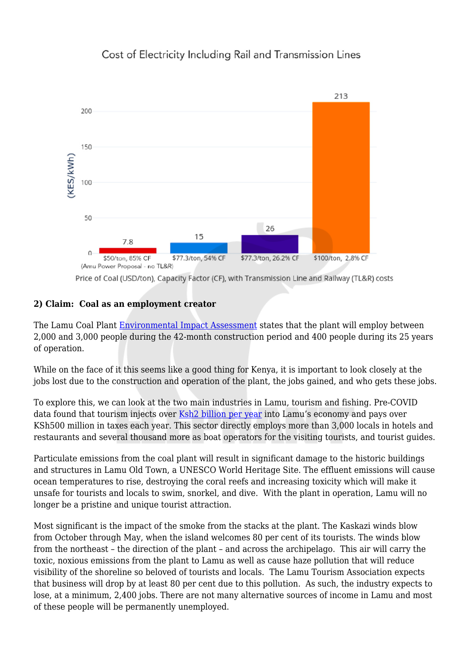## Cost of Electricity Including Rail and Transmission Lines



Price of Coal (USD/ton), Capacity Factor (CF), with Transmission Line and Railway (TL&R) costs

### **2) Claim: Coal as an employment creator**

The Lamu Coal Plant [Environmental Impact Assessment](https://s3-ap-southeast-1.amazonaws.com/amupower/ESIA/04Description+of+the+Project.pdf) states that the plant will employ between 2,000 and 3,000 people during the 42-month construction period and 400 people during its 25 years of operation.

While on the face of it this seems like a good thing for Kenya, it is important to look closely at the jobs lost due to the construction and operation of the plant, the jobs gained, and who gets these jobs.

To explore this, we can look at the two main industries in Lamu, tourism and fishing. Pre-COVID data found that tourism injects over Ksh<sub>2</sub> billion per year into Lamu's economy and pays over KSh500 million in taxes each year. This sector directly employs more than 3,000 locals in hotels and restaurants and several thousand more as boat operators for the visiting tourists, and tourist guides.

Particulate emissions from the coal plant will result in significant damage to the historic buildings and structures in Lamu Old Town, a UNESCO World Heritage Site. The effluent emissions will cause ocean temperatures to rise, destroying the coral reefs and increasing toxicity which will make it unsafe for tourists and locals to swim, snorkel, and dive. With the plant in operation, Lamu will no longer be a pristine and unique tourist attraction.

Most significant is the impact of the smoke from the stacks at the plant. The Kaskazi winds blow from October through May, when the island welcomes 80 per cent of its tourists. The winds blow from the northeast – the direction of the plant – and across the archipelago. This air will carry the toxic, noxious emissions from the plant to Lamu as well as cause haze pollution that will reduce visibility of the shoreline so beloved of tourists and locals. The Lamu Tourism Association expects that business will drop by at least 80 per cent due to this pollution. As such, the industry expects to lose, at a minimum, 2,400 jobs. There are not many alternative sources of income in Lamu and most of these people will be permanently unemployed.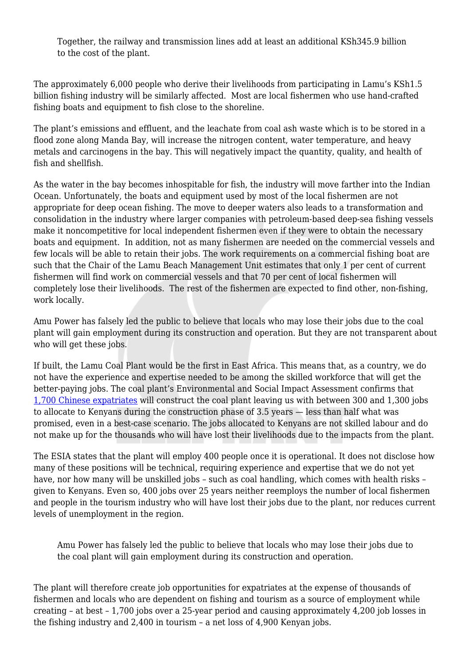Together, the railway and transmission lines add at least an additional KSh345.9 billion to the cost of the plant.

The approximately 6,000 people who derive their livelihoods from participating in Lamu's KSh1.5 billion fishing industry will be similarly affected. Most are local fishermen who use hand-crafted fishing boats and equipment to fish close to the shoreline.

The plant's emissions and effluent, and the leachate from coal ash waste which is to be stored in a flood zone along Manda Bay, will increase the nitrogen content, water temperature, and heavy metals and carcinogens in the bay. This will negatively impact the quantity, quality, and health of fish and shellfish.

As the water in the bay becomes inhospitable for fish, the industry will move farther into the Indian Ocean. Unfortunately, the boats and equipment used by most of the local fishermen are not appropriate for deep ocean fishing. The move to deeper waters also leads to a transformation and consolidation in the industry where larger companies with petroleum-based deep-sea fishing vessels make it noncompetitive for local independent fishermen even if they were to obtain the necessary boats and equipment. In addition, not as many fishermen are needed on the commercial vessels and few locals will be able to retain their jobs. The work requirements on a commercial fishing boat are such that the Chair of the Lamu Beach Management Unit estimates that only 1 per cent of current fishermen will find work on commercial vessels and that 70 per cent of local fishermen will completely lose their livelihoods. The rest of the fishermen are expected to find other, non-fishing, work locally.

Amu Power has falsely led the public to believe that locals who may lose their jobs due to the coal plant will gain employment during its construction and operation. But they are not transparent about who will get these jobs.

If built, the Lamu Coal Plant would be the first in East Africa. This means that, as a country, we do not have the experience and expertise needed to be among the skilled workforce that will get the better-paying jobs. The coal plant's Environmental and Social Impact Assessment confirms that [1,700 Chinese expatriates](https://s3-ap-southeast-1.amazonaws.com/amupower/ESIA/04Description+of+the+Project.pdf) will construct the coal plant leaving us with between 300 and 1,300 jobs to allocate to Kenyans during the construction phase of 3.5 years — less than half what was promised, even in a best-case scenario. The jobs allocated to Kenyans are not skilled labour and do not make up for the thousands who will have lost their livelihoods due to the impacts from the plant.

The ESIA states that the plant will employ 400 people once it is operational. It does not disclose how many of these positions will be technical, requiring experience and expertise that we do not yet have, nor how many will be unskilled jobs – such as coal handling, which comes with health risks – given to Kenyans. Even so, 400 jobs over 25 years neither reemploys the number of local fishermen and people in the tourism industry who will have lost their jobs due to the plant, nor reduces current levels of unemployment in the region.

Amu Power has falsely led the public to believe that locals who may lose their jobs due to the coal plant will gain employment during its construction and operation.

The plant will therefore create job opportunities for expatriates at the expense of thousands of fishermen and locals who are dependent on fishing and tourism as a source of employment while creating – at best – 1,700 jobs over a 25-year period and causing approximately 4,200 job losses in the fishing industry and 2,400 in tourism – a net loss of 4,900 Kenyan jobs.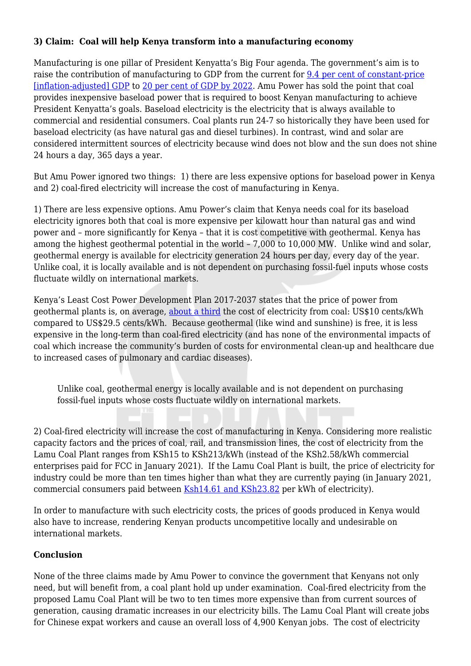### **3) Claim: Coal will help Kenya transform into a manufacturing economy**

Manufacturing is one pillar of President Kenyatta's Big Four agenda. The government's aim is to raise the contribution of manufacturing to GDP from the current for [9.4 per cent of constant-price](https://tradingeconomics.com/kenya/gdp) [\[inflation-adjusted\] GDP](https://tradingeconomics.com/kenya/gdp) to [20 per cent of GDP by 2022](https://www.president.go.ke/). Amu Power has sold the point that coal provides inexpensive baseload power that is required to boost Kenyan manufacturing to achieve President Kenyatta's goals. Baseload electricity is the electricity that is always available to commercial and residential consumers. Coal plants run 24-7 so historically they have been used for baseload electricity (as have natural gas and diesel turbines). In contrast, wind and solar are considered intermittent sources of electricity because wind does not blow and the sun does not shine 24 hours a day, 365 days a year.

But Amu Power ignored two things: 1) there are less expensive options for baseload power in Kenya and 2) coal-fired electricity will increase the cost of manufacturing in Kenya.

1) There are less expensive options. Amu Power's claim that Kenya needs coal for its baseload electricity ignores both that coal is more expensive per kilowatt hour than natural gas and wind power and – more significantly for Kenya – that it is cost competitive with geothermal. Kenya has among the highest geothermal potential in the world – 7,000 to 10,000 MW. Unlike wind and solar, geothermal energy is available for electricity generation 24 hours per day, every day of the year. Unlike coal, it is locally available and is not dependent on purchasing fossil-fuel inputs whose costs fluctuate wildly on international markets.

Kenya's Least Cost Power Development Plan 2017-2037 states that the price of power from geothermal plants is, on average, [about a third](https://newclimate.org/2019/11/12/the-role-of-geothermal-and-coal-in-kenyas-electricity-sector-and-implications-for-sustainable-development/) the cost of electricity from coal: US\$10 cents/kWh compared to US\$29.5 cents/kWh. Because geothermal (like wind and sunshine) is free, it is less expensive in the long-term than coal-fired electricity (and has none of the environmental impacts of coal which increase the community's burden of costs for environmental clean-up and healthcare due to increased cases of pulmonary and cardiac diseases).

Unlike coal, geothermal energy is locally available and is not dependent on purchasing fossil-fuel inputs whose costs fluctuate wildly on international markets.

2) Coal-fired electricity will increase the cost of manufacturing in Kenya. Considering more realistic capacity factors and the prices of coal, rail, and transmission lines, the cost of electricity from the Lamu Coal Plant ranges from KSh15 to KSh213/kWh (instead of the KSh2.58/kWh commercial enterprises paid for FCC in January 2021). If the Lamu Coal Plant is built, the price of electricity for industry could be more than ten times higher than what they are currently paying (in January 2021, commercial consumers paid between [Ksh14.61 and KSh23.82](https://www.stimatracker.com/) per kWh of electricity).

In order to manufacture with such electricity costs, the prices of goods produced in Kenya would also have to increase, rendering Kenyan products uncompetitive locally and undesirable on international markets.

### **Conclusion**

None of the three claims made by Amu Power to convince the government that Kenyans not only need, but will benefit from, a coal plant hold up under examination. Coal-fired electricity from the proposed Lamu Coal Plant will be two to ten times more expensive than from current sources of generation, causing dramatic increases in our electricity bills. The Lamu Coal Plant will create jobs for Chinese expat workers and cause an overall loss of 4,900 Kenyan jobs. The cost of electricity